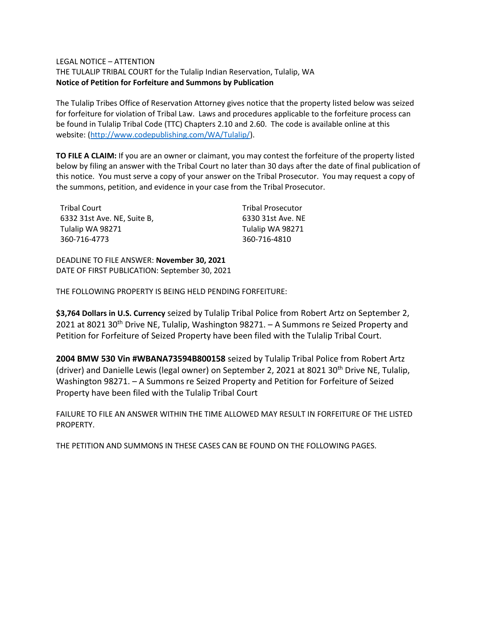### LEGAL NOTICE – ATTENTION

THE TULALIP TRIBAL COURT for the Tulalip Indian Reservation, Tulalip, WA **Notice of Petition for Forfeiture and Summons by Publication**

The Tulalip Tribes Office of Reservation Attorney gives notice that the property listed below was seized for forfeiture for violation of Tribal Law. Laws and procedures applicable to the forfeiture process can be found in Tulalip Tribal Code (TTC) Chapters 2.10 and 2.60. The code is available online at this website: [\(http://www.codepublishing.com/WA/Tulalip/\)](http://www.codepublishing.com/WA/Tulalip/).

**TO FILE A CLAIM:** If you are an owner or claimant, you may contest the forfeiture of the property listed below by filing an answer with the Tribal Court no later than 30 days after the date of final publication of this notice. You must serve a copy of your answer on the Tribal Prosecutor. You may request a copy of the summons, petition, and evidence in your case from the Tribal Prosecutor.

| Tribal Court                | <b>Tribal Prosecutor</b> |
|-----------------------------|--------------------------|
| 6332 31st Ave. NE, Suite B, | 6330 31st Ave. NE        |
| Tulalip WA 98271            | Tulalip WA 98271         |
| 360-716-4773                | 360-716-4810             |

DEADLINE TO FILE ANSWER: **November 30, 2021** DATE OF FIRST PUBLICATION: September 30, 2021

THE FOLLOWING PROPERTY IS BEING HELD PENDING FORFEITURE:

**\$3,764 Dollars in U.S. Currency** seized by Tulalip Tribal Police from Robert Artz on September 2, 2021 at 8021 30<sup>th</sup> Drive NE, Tulalip, Washington 98271. - A Summons re Seized Property and Petition for Forfeiture of Seized Property have been filed with the Tulalip Tribal Court.

**2004 BMW 530 Vin #WBANA73594B800158** seized by Tulalip Tribal Police from Robert Artz (driver) and Danielle Lewis (legal owner) on September 2, 2021 at 8021 30<sup>th</sup> Drive NE, Tulalip, Washington 98271. – A Summons re Seized Property and Petition for Forfeiture of Seized Property have been filed with the Tulalip Tribal Court

FAILURE TO FILE AN ANSWER WITHIN THE TIME ALLOWED MAY RESULT IN FORFEITURE OF THE LISTED PROPERTY.

THE PETITION AND SUMMONS IN THESE CASES CAN BE FOUND ON THE FOLLOWING PAGES.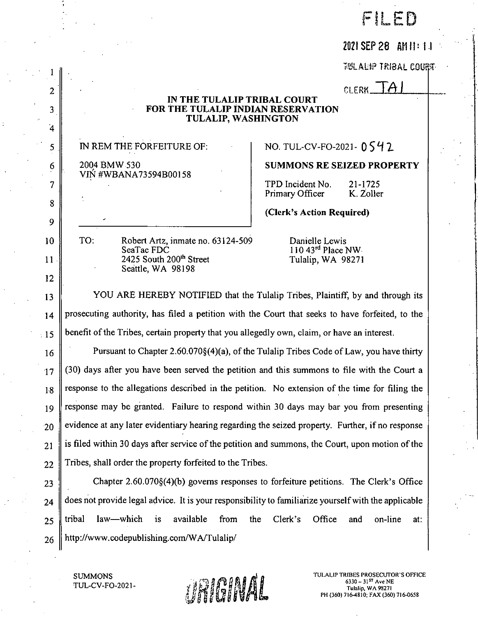# FILED

# 2021 SEP 28 AM 11:11

**TULALIP TRIBAL COURT** 

CLERK  $A$ 

### IN THE TULALIP TRIBAL COURT **FOR THE TULALIP INDIAN RESERVATION** TULALIP, WASHINGTON

IN REM THE FORFEITURE OF:

2004 BMW 530 VIN #WBANA73594B00158

2

3

4

5

6

7

8

9

 $10$ 

 $11$ 

12

13

 $14$ 

 $\cdot$  15

16

 $17$ 

18

19

20

21

22

NO. TUL-CV-FO-2021- 0542

**SUMMONS RE SEIZED PROPERTY** 

TPD Incident No. 21-1725 Primary Officer K. Zoller

(Clerk's Action Required)

TO: Robert Artz, inmate no. 63124-509 SeaTac FDC 2425 South 200<sup>th</sup> Street Seattle, WA 98198

Danielle Lewis  $110$  43<sup>rd</sup> Place NW. Tulalip, WA 98271

YOU ARE HEREBY NOTIFIED that the Tulalip Tribes, Plaintiff, by and through its prosecuting authority, has filed a petition with the Court that seeks to have forfeited, to the benefit of the Tribes, certain property that you allegedly own, claim, or have an interest.

Pursuant to Chapter 2.60.070§(4)(a), of the Tulalip Tribes Code of Law, you have thirty (30) days after you have been served the petition and this summons to file with the Court a response to the allegations described in the petition. No extension of the time for filing the response may be granted. Failure to respond within 30 days may bar you from presenting evidence at any later evidentiary hearing regarding the seized property. Further, if no response is filed within 30 days after service of the petition and summons, the Court, upon motion of the Tribes, shall order the property forfeited to the Tribes.

Chapter  $2.60.070\{(4)\}$  governs responses to forfeiture petitions. The Clerk's Office 23 does not provide legal advice. It is your responsibility to familiarize yourself with the applicable 24 tribal law—which is available from the Clerk's Office on-line and at: 25 http://www.codepublishing.com/WA/Tulalip/ 26

**SUMMONS TUL-CV-FO-2021-**



TULALIP TRIBES PROSECUTOR'S OFFICE  $6330 - 31^{5T}$  Ave NE Tulalip, WA 98271 PH (360) 716-4810; FAX (360) 716-0658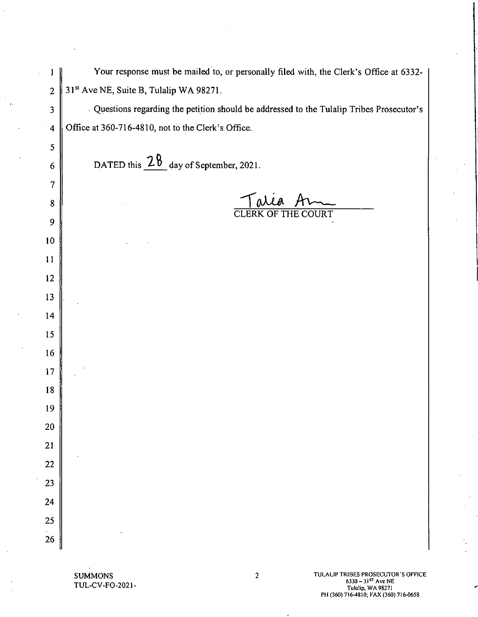Your response must be mailed to, or personally filed with, the Clerk's Office at 6332-31st Ave NE, Suite B, Tulalip WA 98271.

Questions regarding the petition should be addressed to the Tulalip Tribes Prosecutor's Office at 360-716-4810, not to the Clerk's Office.

DATED this  $2\frac{8}{9}$  day of September, 2021.

 $\mathbf{1}$ 

 $\overline{2}$ 

 $\overline{\mathbf{3}}$ 

 $\overline{\mathbf{4}}$ 

5

6

 $\overline{7}$ 

 $\bf 8$ 

9

10

 $11$ 

12

13

14

15

16

 $17$ 

18

19

20

21

22

23

24

25

26

**THE COURT** 

**SUMMONS** TUL-CV-FO-2021TULALIP TRIBES PROSECUTOR'S OFFICE  $6330 - 31^{57}$  Ave NE<br>Tulalip, WA 98271 PH (360) 716-4810; FAX (360) 716-0658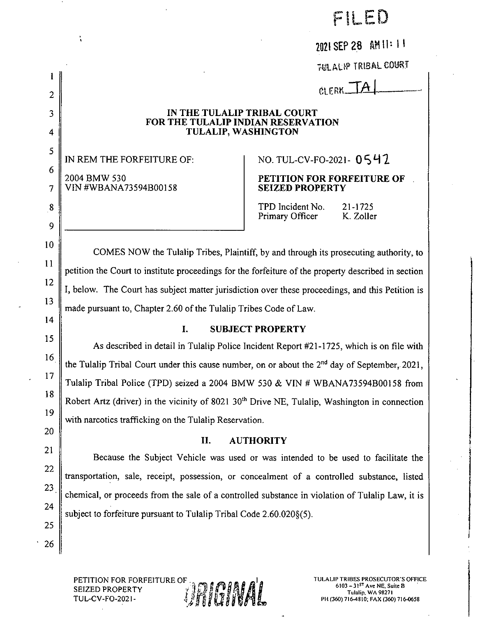FILED

2021 SEP 28 AM 11:11

**TULAUR TRIBAL COURT** 

CLERK\_

### IN THE TULALIP TRIBAL COURT FOR THE TULALIP INDIAN RESERVATION TULALIP, WASHINGTON

IN REM THE FORFEITURE OF: 2004 BMW 530 VIN #WBANA73594B00158

1

 $\overline{2}$ 

3

 $\overline{\mathbf{4}}$ 

5

6

 $\overline{7}$ 

 $\bf 8$ 

9

10

11

12

13

14

15

16

17

18

19

20

21

22

23

24

25

26

# NO. TUL-CV-FO-2021-0542

### PETITION FOR FORFEITURE OF **SEIZED PROPERTY**

TPD Incident No. 21-1725 Primary Officer K. Zoller

COMES NOW the Tulalip Tribes, Plaintiff, by and through its prosecuting authority, to petition the Court to institute proceedings for the forfeiture of the property described in section I, below. The Court has subject matter jurisdiction over these proceedings, and this Petition is made pursuant to, Chapter 2.60 of the Tulalip Tribes Code of Law.

#### I. **SUBJECT PROPERTY**

As described in detail in Tulalip Police Incident Report #21-1725, which is on file with the Tulalip Tribal Court under this cause number, on or about the 2<sup>nd</sup> day of September, 2021, Tulalip Tribal Police (TPD) seized a 2004 BMW 530 & VIN # WBANA73594B00158 from Robert Artz (driver) in the vicinity of 8021 30<sup>th</sup> Drive NE, Tulalip, Washington in connection with narcotics trafficking on the Tulalip Reservation.

#### H. **AUTHORITY**

Because the Subject Vehicle was used or was intended to be used to facilitate the transportation, sale, receipt, possession, or concealment of a controlled substance, listed chemical, or proceeds from the sale of a controlled substance in violation of Tulalip Law, it is subject to forfeiture pursuant to Tulalip Tribal Code 2.60.020§(5).

**ANDINAL** 

PETITION FOR FORFEITURE OF **SEIZED PROPERTY TUL-CV-FO-2021-** TULALIP TRIBES PROSECUTOR'S OFFICE  $6103 - 31$ <sup>ST</sup> Ave NE, Suite B Tulalip, WA 98271 PH (360) 716-4810; FAX (360) 716-0658